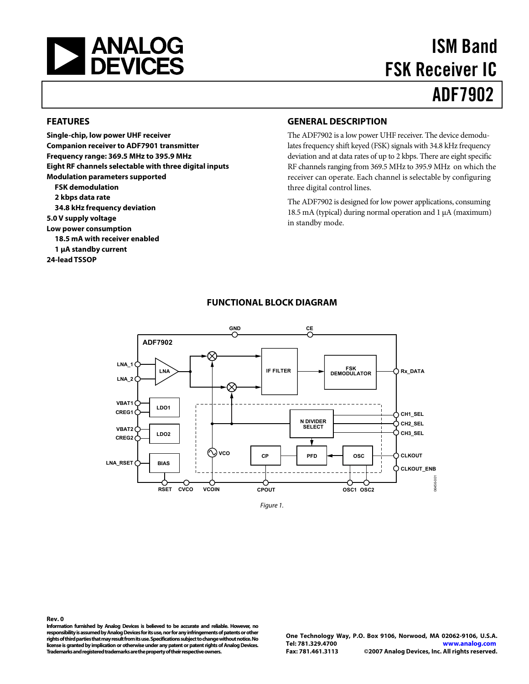<span id="page-0-0"></span>

# ISM Band FSK Receiver IC ADF7902

#### **FEATURES**

**Single-chip, low power UHF receiver Companion receiver to ADF7901 transmitter Frequency range: 369.5 MHz to 395.9 MHz Eight RF channels selectable with three digital inputs Modulation parameters supported FSK demodulation 2 kbps data rate 34.8 kHz frequency deviation 5.0 V supply voltage Low power consumption 18.5 mA with receiver enabled 1 μA standby current 24-lead TSSOP** 

#### **GENERAL DESCRIPTION**

The ADF7902 is a low power UHF receiver. The device demodulates frequency shift keyed (FSK) signals with 34.8 kHz frequency deviation and at data rates of up to 2 kbps. There are eight specific RF channels ranging from 369.5 MHz to 395.9 MHz on which the receiver can operate. Each channel is selectable by configuring three digital control lines.

The ADF7902 is designed for low power applications, consuming 18.5 mA (typical) during normal operation and 1 μA (maximum) in standby mode.



#### **FUNCTIONAL BLOCK DIAGRAM**

Figure 1.

**Information furnished by Analog Devices is believed to be accurate and reliable. However, no responsibility is assumed by Analog Devices for its use, nor for any infringements of patents or other rights of third parties that may result from its use. Specifications subject to change without notice. No license is granted by implication or otherwise under any patent or patent rights of Analog Devices. Trademarks and registered trademarks are the property of their respective owners.** 

**Rev. 0**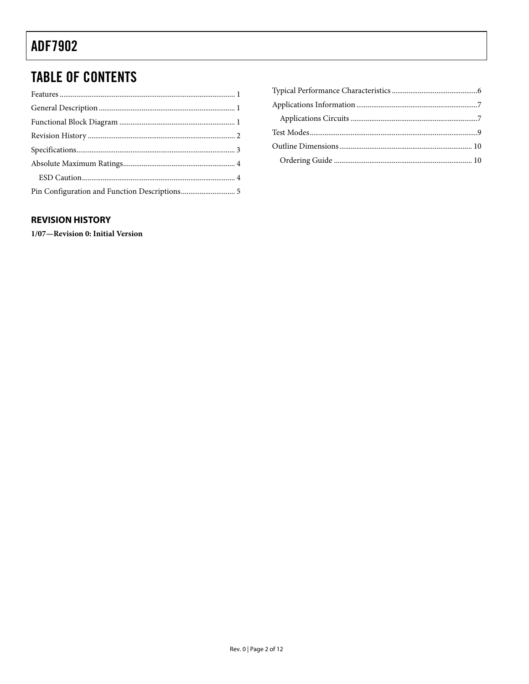# <span id="page-1-0"></span>**TABLE OF CONTENTS**

| Pin Configuration and Function Descriptions 5 |  |
|-----------------------------------------------|--|

#### **REVISION HISTORY**

1/07-Revision 0: Initial Version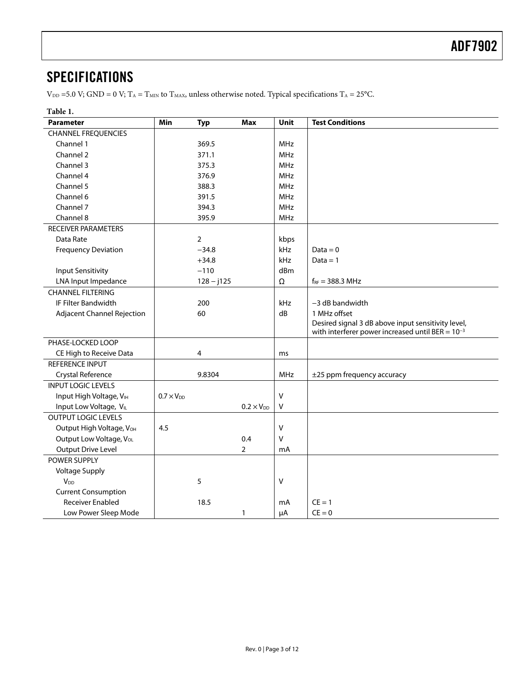### <span id="page-2-0"></span>**SPECIFICATIONS**

 $V_{DD} = 5.0$  V; GND = 0 V; T<sub>A</sub> = T<sub>MIN</sub> to T<sub>MAX</sub>, unless otherwise noted. Typical specifications T<sub>A</sub> = 25°C.

| Table 1.                          |                     |                |                     |            |                                                       |
|-----------------------------------|---------------------|----------------|---------------------|------------|-------------------------------------------------------|
| <b>Parameter</b>                  | Min                 | <b>Typ</b>     | <b>Max</b>          | Unit       | <b>Test Conditions</b>                                |
| <b>CHANNEL FREQUENCIES</b>        |                     |                |                     |            |                                                       |
| Channel 1                         |                     | 369.5          |                     | MHz        |                                                       |
| Channel 2                         |                     | 371.1          |                     | <b>MHz</b> |                                                       |
| Channel 3                         |                     | 375.3          |                     | <b>MHz</b> |                                                       |
| Channel 4                         |                     | 376.9          |                     | <b>MHz</b> |                                                       |
| Channel 5                         |                     | 388.3          |                     | <b>MHz</b> |                                                       |
| Channel 6                         |                     | 391.5          |                     | MHz        |                                                       |
| Channel 7                         |                     | 394.3          |                     | <b>MHz</b> |                                                       |
| Channel 8                         |                     | 395.9          |                     | MHz        |                                                       |
| <b>RECEIVER PARAMETERS</b>        |                     |                |                     |            |                                                       |
| Data Rate                         |                     | $\overline{2}$ |                     | kbps       |                                                       |
| <b>Frequency Deviation</b>        |                     | $-34.8$        |                     | kHz        | $Data = 0$                                            |
|                                   |                     | $+34.8$        |                     | kHz        | $Data = 1$                                            |
| <b>Input Sensitivity</b>          |                     | $-110$         |                     | dBm        |                                                       |
| LNA Input Impedance               |                     | $128 - j125$   |                     | Ω          | $f_{RF} = 388.3 \, \text{MHz}$                        |
| <b>CHANNEL FILTERING</b>          |                     |                |                     |            |                                                       |
| IF Filter Bandwidth               |                     | 200            |                     | kHz        | $-3$ dB bandwidth                                     |
| <b>Adjacent Channel Rejection</b> |                     | 60             |                     | dB         | 1 MHz offset                                          |
|                                   |                     |                |                     |            | Desired signal 3 dB above input sensitivity level,    |
|                                   |                     |                |                     |            | with interferer power increased until BER = $10^{-3}$ |
| PHASE-LOCKED LOOP                 |                     |                |                     |            |                                                       |
| CE High to Receive Data           |                     | 4              |                     | ms         |                                                       |
| REFERENCE INPUT                   |                     |                |                     |            |                                                       |
| Crystal Reference                 |                     | 9.8304         |                     | MHz        | ±25 ppm frequency accuracy                            |
| <b>INPUT LOGIC LEVELS</b>         |                     |                |                     |            |                                                       |
| Input High Voltage, VIH           | $0.7 \times V_{DD}$ |                |                     | V          |                                                       |
| Input Low Voltage, VIL            |                     |                | $0.2 \times V_{DD}$ | $\sf V$    |                                                       |
| <b>OUTPUT LOGIC LEVELS</b>        |                     |                |                     |            |                                                       |
| Output High Voltage, VOH          | 4.5                 |                |                     | V          |                                                       |
| Output Low Voltage, Vol.          |                     |                | 0.4                 | V          |                                                       |
| <b>Output Drive Level</b>         |                     |                | $\overline{2}$      | mA         |                                                       |
| POWER SUPPLY                      |                     |                |                     |            |                                                       |
| <b>Voltage Supply</b>             |                     |                |                     |            |                                                       |
| $V_{DD}$                          |                     | 5              |                     | V          |                                                       |
| <b>Current Consumption</b>        |                     |                |                     |            |                                                       |
| <b>Receiver Enabled</b>           |                     | 18.5           |                     | mA         | $CE = 1$                                              |
| Low Power Sleep Mode              |                     |                | 1                   | μA         | $CE = 0$                                              |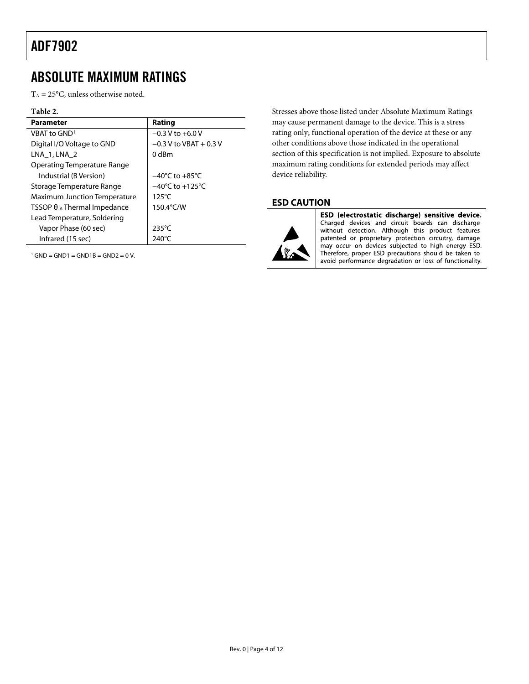### <span id="page-3-0"></span>ABSOLUTE MAXIMUM RATINGS

 $T_A = 25$ °C, unless otherwise noted.

#### **Table 2.**

| <b>Parameter</b>                      | Rating                              |
|---------------------------------------|-------------------------------------|
| VBAT to GND <sup>1</sup>              | $-0.3$ V to $+6.0$ V                |
| Digital I/O Voltage to GND            | $-0.3$ V to VBAT $+0.3$ V           |
| LNA 1, LNA 2                          | 0 dBm                               |
| Operating Temperature Range           |                                     |
| Industrial (B Version)                | $-40^{\circ}$ C to $+85^{\circ}$ C  |
| Storage Temperature Range             | $-40^{\circ}$ C to $+125^{\circ}$ C |
| <b>Maximum Junction Temperature</b>   | $125^{\circ}$ C                     |
| TSSOP $\theta_{JA}$ Thermal Impedance | 150.4°C/W                           |
| Lead Temperature, Soldering           |                                     |
| Vapor Phase (60 sec)                  | $235^{\circ}$ C                     |
| Infrared (15 sec)                     | 240°C                               |

<span id="page-3-1"></span> $1$  GND = GND1 = GND1B = GND2 = 0 V.

Stresses above those listed under Absolute Maximum Ratings may cause permanent damage to the device. This is a stress rating only; functional operation of the device at these or any other conditions above those indicated in the operational section of this specification is not implied. Exposure to absolute maximum rating conditions for extended periods may affect device reliability.

#### **ESD CAUTION**



ESD (electrostatic discharge) sensitive device. Charged devices and circuit boards can discharge without detection. Although this product features patented or proprietary protection circuitry, damage may occur on devices subjected to high energy ESD. Therefore, proper ESD precautions should be taken to avoid performance degradation or loss of functionality.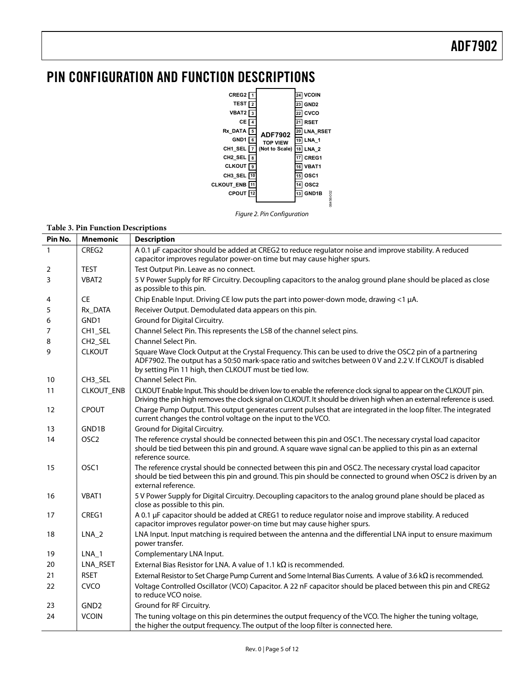### <span id="page-4-0"></span>PIN CONFIGURATION AND FUNCTION DESCRIPTIONS



Figure 2. Pin Configuration

#### **Table 3. Pin Function Descriptions**

| Pin No.      | <b>Mnemonic</b>     | <b>Description</b>                                                                                                                                                                                                                                                               |
|--------------|---------------------|----------------------------------------------------------------------------------------------------------------------------------------------------------------------------------------------------------------------------------------------------------------------------------|
| $\mathbf{1}$ | CREG2               | A 0.1 µF capacitor should be added at CREG2 to reduce regulator noise and improve stability. A reduced                                                                                                                                                                           |
|              |                     | capacitor improves regulator power-on time but may cause higher spurs.                                                                                                                                                                                                           |
| 2            | <b>TEST</b>         | Test Output Pin. Leave as no connect.                                                                                                                                                                                                                                            |
| 3            | VBAT2               | 5 V Power Supply for RF Circuitry. Decoupling capacitors to the analog ground plane should be placed as close<br>as possible to this pin.                                                                                                                                        |
| 4            | <b>CE</b>           | Chip Enable Input. Driving CE low puts the part into power-down mode, drawing <1 µA.                                                                                                                                                                                             |
| 5            | Rx DATA             | Receiver Output. Demodulated data appears on this pin.                                                                                                                                                                                                                           |
| 6            | GND1                | Ground for Digital Circuitry.                                                                                                                                                                                                                                                    |
| 7            | CH1 SEL             | Channel Select Pin. This represents the LSB of the channel select pins.                                                                                                                                                                                                          |
| 8            | CH <sub>2_SEL</sub> | Channel Select Pin.                                                                                                                                                                                                                                                              |
| 9            | <b>CLKOUT</b>       | Square Wave Clock Output at the Crystal Frequency. This can be used to drive the OSC2 pin of a partnering<br>ADF7902. The output has a 50:50 mark-space ratio and switches between 0 V and 2.2 V. If CLKOUT is disabled<br>by setting Pin 11 high, then CLKOUT must be tied low. |
| 10           | CH3_SEL             | Channel Select Pin.                                                                                                                                                                                                                                                              |
| 11           | <b>CLKOUT_ENB</b>   | CLKOUT Enable Input. This should be driven low to enable the reference clock signal to appear on the CLKOUT pin.<br>Driving the pin high removes the clock signal on CLKOUT. It should be driven high when an external reference is used.                                        |
| 12           | <b>CPOUT</b>        | Charge Pump Output. This output generates current pulses that are integrated in the loop filter. The integrated<br>current changes the control voltage on the input to the VCO.                                                                                                  |
| 13           | GND1B               | Ground for Digital Circuitry.                                                                                                                                                                                                                                                    |
| 14           | OSC <sub>2</sub>    | The reference crystal should be connected between this pin and OSC1. The necessary crystal load capacitor<br>should be tied between this pin and ground. A square wave signal can be applied to this pin as an external<br>reference source.                                     |
| 15           | OSC <sub>1</sub>    | The reference crystal should be connected between this pin and OSC2. The necessary crystal load capacitor<br>should be tied between this pin and ground. This pin should be connected to ground when OSC2 is driven by an<br>external reference.                                 |
| 16           | VBAT1               | 5 V Power Supply for Digital Circuitry. Decoupling capacitors to the analog ground plane should be placed as<br>close as possible to this pin.                                                                                                                                   |
| 17           | CREG1               | A 0.1 µF capacitor should be added at CREG1 to reduce regulator noise and improve stability. A reduced<br>capacitor improves regulator power-on time but may cause higher spurs.                                                                                                 |
| 18           | $LNA_2$             | LNA Input. Input matching is required between the antenna and the differential LNA input to ensure maximum<br>power transfer.                                                                                                                                                    |
| 19           | LNA_1               | Complementary LNA Input.                                                                                                                                                                                                                                                         |
| 20           | LNA_RSET            | External Bias Resistor for LNA. A value of 1.1 $k\Omega$ is recommended.                                                                                                                                                                                                         |
| 21           | <b>RSET</b>         | External Resistor to Set Charge Pump Current and Some Internal Bias Currents. A value of 3.6 k $\Omega$ is recommended.                                                                                                                                                          |
| 22           | <b>CVCO</b>         | Voltage Controlled Oscillator (VCO) Capacitor. A 22 nF capacitor should be placed between this pin and CREG2<br>to reduce VCO noise.                                                                                                                                             |
| 23           | GND <sub>2</sub>    | Ground for RF Circuitry.                                                                                                                                                                                                                                                         |
| 24           | <b>VCOIN</b>        | The tuning voltage on this pin determines the output frequency of the VCO. The higher the tuning voltage,<br>the higher the output frequency. The output of the loop filter is connected here.                                                                                   |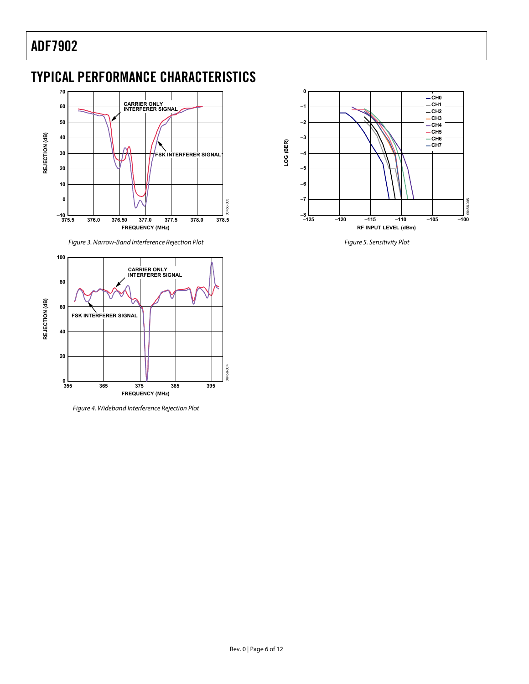# <span id="page-5-0"></span>TYPICAL PERFORMANCE CHARACTERISTICS



Figure 3. Narrow-Band Interference Rejection Plot



Figure 4. Wideband Interference Rejection Plot



Figure 5. Sensitivity Plot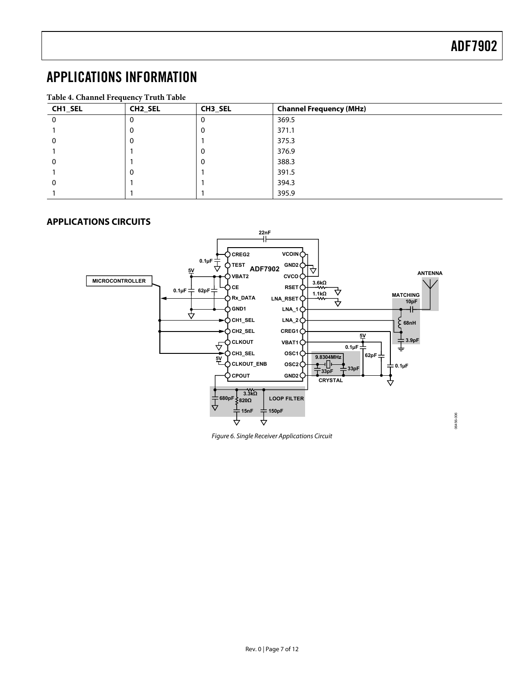# <span id="page-6-0"></span>APPLICATIONS INFORMATION

| Table 4. Channel Frequency Truth Table |                     |         |                                |  |
|----------------------------------------|---------------------|---------|--------------------------------|--|
| CH1_SEL                                | CH <sub>2_SEL</sub> | CH3 SEL | <b>Channel Frequency (MHz)</b> |  |
|                                        | O                   |         | 369.5                          |  |
|                                        | O                   |         | 371.1                          |  |
|                                        | $\Omega$            |         | 375.3                          |  |
|                                        |                     |         | 376.9                          |  |
|                                        |                     |         | 388.3                          |  |
|                                        | $\Omega$            |         | 391.5                          |  |
|                                        |                     |         | 394.3                          |  |
|                                        |                     |         | 395.9                          |  |

#### **APPLICATIONS CIRCUITS**



Figure 6. Single Receiver Applications Circuit

06456-006 06456-006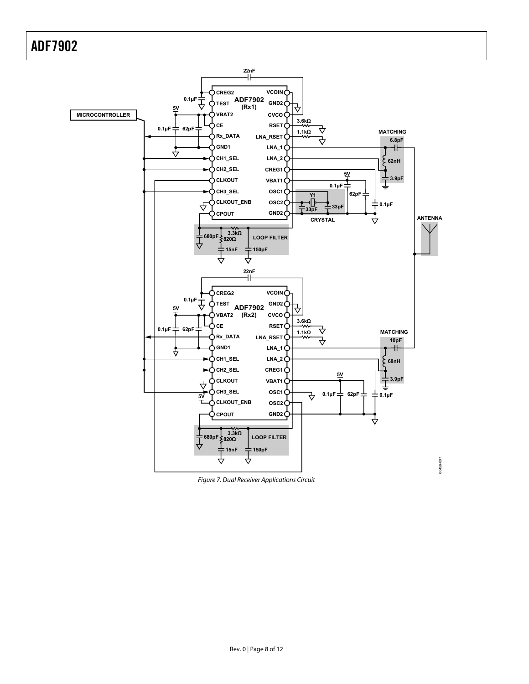

Figure 7. Dual Receiver Applications Circuit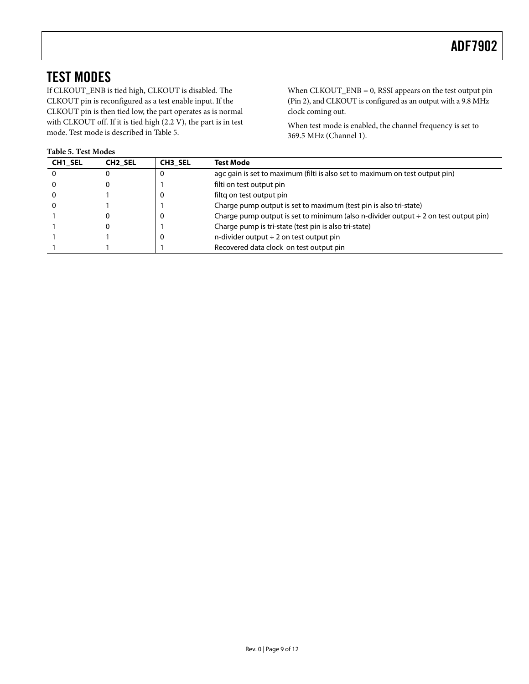# <span id="page-8-0"></span>TEST MODES

If CLKOUT\_ENB is tied high, CLKOUT is disabled. The CLKOUT pin is reconfigured as a test enable input. If the CLKOUT pin is then tied low, the part operates as is normal with CLKOUT off. If it is tied high (2.2 V), the part is in test mode. Test mode is described in [Table 5](#page-8-1).

<span id="page-8-1"></span>**Table 5. Test Modes** 

When CLKOUT\_ENB = 0, RSSI appears on the test output pin (Pin 2), and CLKOUT is configured as an output with a 9.8 MHz clock coming out.

When test mode is enabled, the channel frequency is set to 369.5 MHz (Channel 1).

| <b>CH1 SEL</b> | CH <sub>2</sub> SEL | <b>CH3 SEL</b> | <b>Test Mode</b>                                                                         |
|----------------|---------------------|----------------|------------------------------------------------------------------------------------------|
|                |                     |                | agc gain is set to maximum (filti is also set to maximum on test output pin)             |
|                |                     |                | filti on test output pin                                                                 |
|                |                     |                | filtg on test output pin                                                                 |
|                |                     |                | Charge pump output is set to maximum (test pin is also tri-state)                        |
|                |                     |                | Charge pump output is set to minimum (also n-divider output $\div$ 2 on test output pin) |
|                |                     |                | Charge pump is tri-state (test pin is also tri-state)                                    |
|                |                     |                | n-divider output $\div$ 2 on test output pin                                             |
|                |                     |                | Recovered data clock on test output pin                                                  |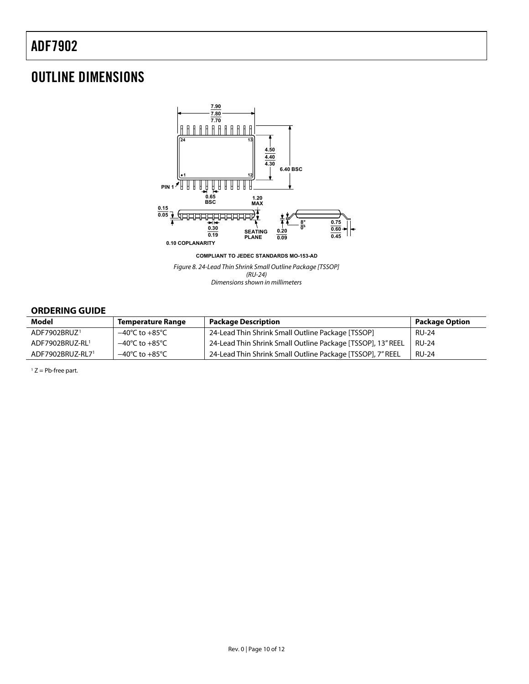### <span id="page-9-0"></span>OUTLINE DIMENSIONS



Figure 8. 24-Lead Thin Shrink Small Outline Package [TSSOP] (RU-24) Dimensions shown in millimeters

#### **ORDERING GUIDE**

<span id="page-9-1"></span>

| <b>Model</b>             | <b>Temperature Range</b>           | <b>Package Description</b>                                  | <b>Package Option</b> |
|--------------------------|------------------------------------|-------------------------------------------------------------|-----------------------|
| ADF7902BRUZ <sup>1</sup> | $-40^{\circ}$ C to $+85^{\circ}$ C | 24-Lead Thin Shrink Small Outline Package [TSSOP]           | <b>RU-24</b>          |
| ADF7902BRUZ-RL1          | $-40^{\circ}$ C to $+85^{\circ}$ C | 24-Lead Thin Shrink Small Outline Package [TSSOP], 13" REEL | <b>RU-24</b>          |
| ADF7902BRUZ-RL71         | $-40^{\circ}$ C to $+85^{\circ}$ C | 24-Lead Thin Shrink Small Outline Package [TSSOP], 7" REEL  | <b>RU-24</b>          |

 $1 Z = Pb$ -free part.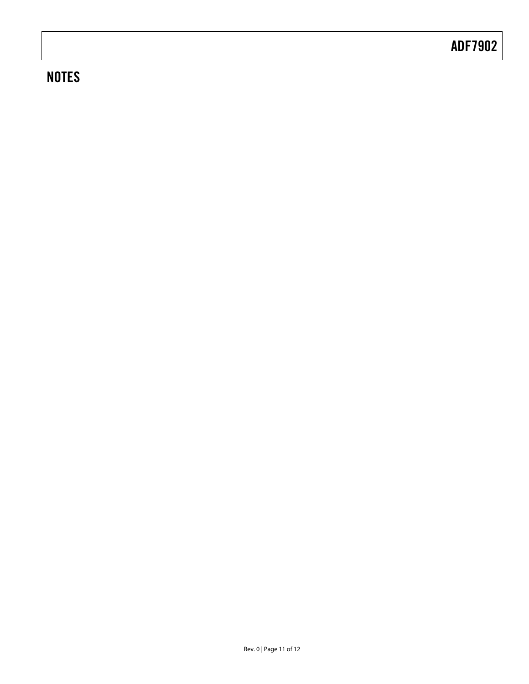# **NOTES**